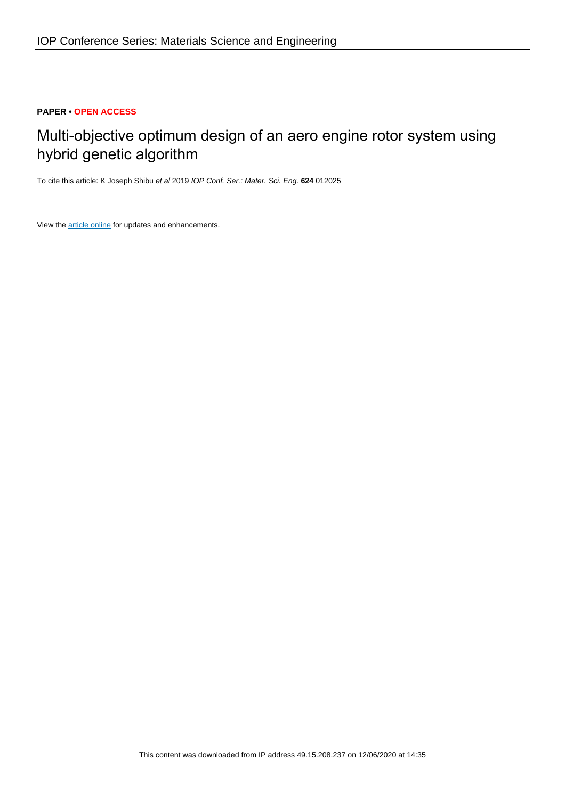# **PAPER • OPEN ACCESS**

# Multi-objective optimum design of an aero engine rotor system using hybrid genetic algorithm

To cite this article: K Joseph Shibu et al 2019 IOP Conf. Ser.: Mater. Sci. Eng. **624** 012025

View the [article online](https://doi.org/10.1088/1757-899X/624/1/012025) for updates and enhancements.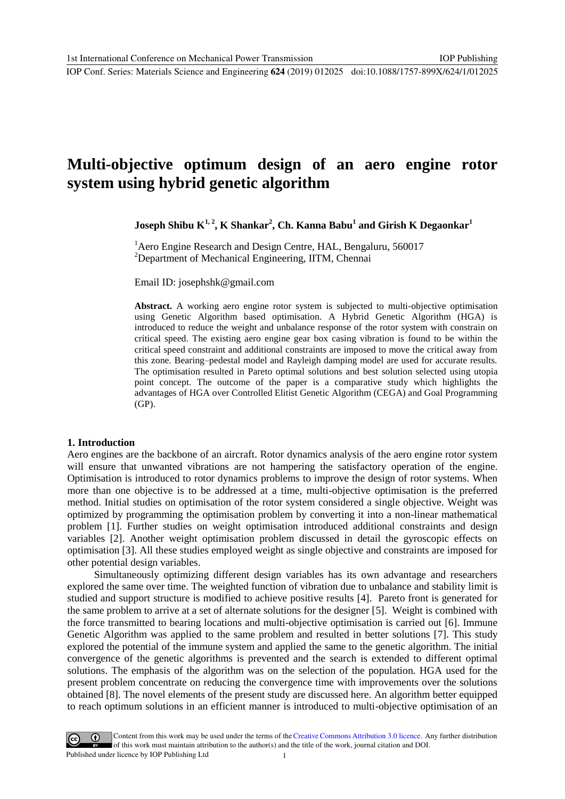IOP Conf. Series: Materials Science and Engineering **624** (2019) 012025 doi:10.1088/1757-899X/624/1/012025

# **Multi-objective optimum design of an aero engine rotor system using hybrid genetic algorithm**

 $J$ oseph Shibu  $K^{1, 2}$ ,  $K$  Shankar<sup>2</sup>, Ch. Kanna Babu $^1$  and Girish  $K$  Degaonkar $^1$ 

<sup>1</sup> Aero Engine Research and Design Centre, HAL, Bengaluru, 560017 <sup>2</sup>Department of Mechanical Engineering, IITM, Chennai

Email ID: josephshk@gmail.com

**Abstract.** A working aero engine rotor system is subjected to multi-objective optimisation using Genetic Algorithm based optimisation. A Hybrid Genetic Algorithm (HGA) is introduced to reduce the weight and unbalance response of the rotor system with constrain on critical speed. The existing aero engine gear box casing vibration is found to be within the critical speed constraint and additional constraints are imposed to move the critical away from this zone. Bearing–pedestal model and Rayleigh damping model are used for accurate results. The optimisation resulted in Pareto optimal solutions and best solution selected using utopia point concept. The outcome of the paper is a comparative study which highlights the advantages of HGA over Controlled Elitist Genetic Algorithm (CEGA) and Goal Programming (GP).

#### **1. Introduction**

Aero engines are the backbone of an aircraft. Rotor dynamics analysis of the aero engine rotor system will ensure that unwanted vibrations are not hampering the satisfactory operation of the engine. Optimisation is introduced to rotor dynamics problems to improve the design of rotor systems. When more than one objective is to be addressed at a time, multi-objective optimisation is the preferred method. Initial studies on optimisation of the rotor system considered a single objective. Weight was optimized by programming the optimisation problem by converting it into a non-linear mathematical problem [1]. Further studies on weight optimisation introduced additional constraints and design variables [2]. Another weight optimisation problem discussed in detail the gyroscopic effects on optimisation [3]. All these studies employed weight as single objective and constraints are imposed for other potential design variables.

 Simultaneously optimizing different design variables has its own advantage and researchers explored the same over time. The weighted function of vibration due to unbalance and stability limit is studied and support structure is modified to achieve positive results [4]. Pareto front is generated for the same problem to arrive at a set of alternate solutions for the designer [5]. Weight is combined with the force transmitted to bearing locations and multi-objective optimisation is carried out [6]. Immune Genetic Algorithm was applied to the same problem and resulted in better solutions [7]. This study explored the potential of the immune system and applied the same to the genetic algorithm. The initial convergence of the genetic algorithms is prevented and the search is extended to different optimal solutions. The emphasis of the algorithm was on the selection of the population. HGA used for the present problem concentrate on reducing the convergence time with improvements over the solutions obtained [8]. The novel elements of the present study are discussed here. An algorithm better equipped to reach optimum solutions in an efficient manner is introduced to multi-objective optimisation of an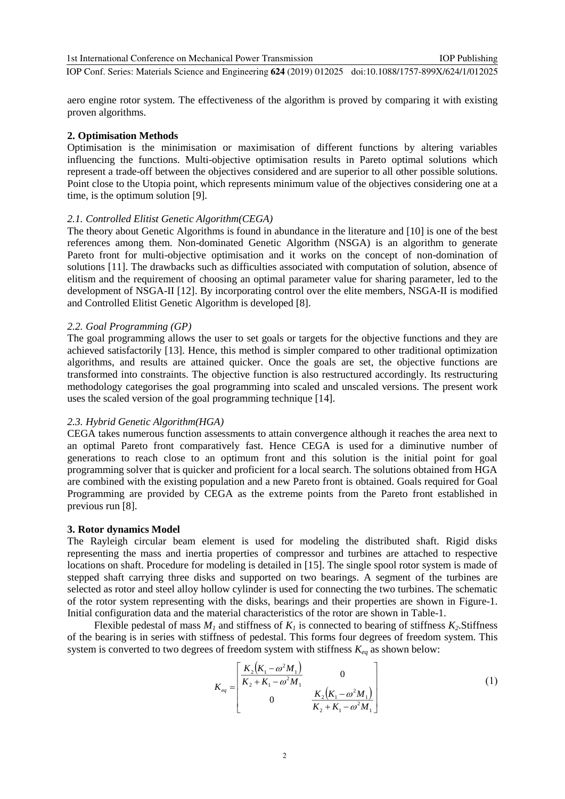IOP Conf. Series: Materials Science and Engineering **624** (2019) 012025 doi:10.1088/1757-899X/624/1/012025

aero engine rotor system. The effectiveness of the algorithm is proved by comparing it with existing proven algorithms.

#### **2. Optimisation Methods**

Optimisation is the minimisation or maximisation of different functions by altering variables influencing the functions. Multi-objective optimisation results in Pareto optimal solutions which represent a trade-off between the objectives considered and are superior to all other possible solutions. Point close to the Utopia point, which represents minimum value of the objectives considering one at a time, is the optimum solution [9].

#### *2.1. Controlled Elitist Genetic Algorithm(CEGA)*

The theory about Genetic Algorithms is found in abundance in the literature and [10] is one of the best references among them. Non-dominated Genetic Algorithm (NSGA) is an algorithm to generate Pareto front for multi-objective optimisation and it works on the concept of non-domination of solutions [11]. The drawbacks such as difficulties associated with computation of solution, absence of elitism and the requirement of choosing an optimal parameter value for sharing parameter, led to the development of NSGA-II [12]. By incorporating control over the elite members, NSGA-II is modified and Controlled Elitist Genetic Algorithm is developed [8].

#### *2.2. Goal Programming (GP)*

The goal programming allows the user to set goals or targets for the objective functions and they are achieved satisfactorily [13]. Hence, this method is simpler compared to other traditional optimization algorithms, and results are attained quicker. Once the goals are set, the objective functions are transformed into constraints. The objective function is also restructured accordingly. Its restructuring methodology categorises the goal programming into scaled and unscaled versions. The present work uses the scaled version of the goal programming technique [14].

#### *2.3. Hybrid Genetic Algorithm(HGA)*

CEGA takes numerous function assessments to attain convergence although it reaches the area next to an optimal Pareto front comparatively fast. Hence CEGA is used for a diminutive number of generations to reach close to an optimum front and this solution is the initial point for goal programming solver that is quicker and proficient for a local search. The solutions obtained from HGA are combined with the existing population and a new Pareto front is obtained. Goals required for Goal Programming are provided by CEGA as the extreme points from the Pareto front established in previous run [8].

#### **3. Rotor dynamics Model**

The Rayleigh circular beam element is used for modeling the distributed shaft. Rigid disks representing the mass and inertia properties of compressor and turbines are attached to respective locations on shaft. Procedure for modeling is detailed in [15]. The single spool rotor system is made of stepped shaft carrying three disks and supported on two bearings. A segment of the turbines are selected as rotor and steel alloy hollow cylinder is used for connecting the two turbines. The schematic of the rotor system representing with the disks, bearings and their properties are shown in Figure-1. Initial configuration data and the material characteristics of the rotor are shown in Table-1.

Flexible pedestal of mass  $M<sub>1</sub>$  and stiffness of  $K<sub>1</sub>$  is connected to bearing of stiffness  $K<sub>2</sub>$ . Stiffness of the bearing is in series with stiffness of pedestal. This forms four degrees of freedom system. This system is converted to two degrees of freedom system with stiffness  $K_{eq}$  as shown below:

$$
K_{eq} = \begin{bmatrix} \frac{K_2(K_1 - \omega^2 M_1)}{K_2 + K_1 - \omega^2 M_1} & 0\\ 0 & \frac{K_2(K_1 - \omega^2 M_1)}{K_2 + K_1 - \omega^2 M_1} \end{bmatrix}
$$
(1)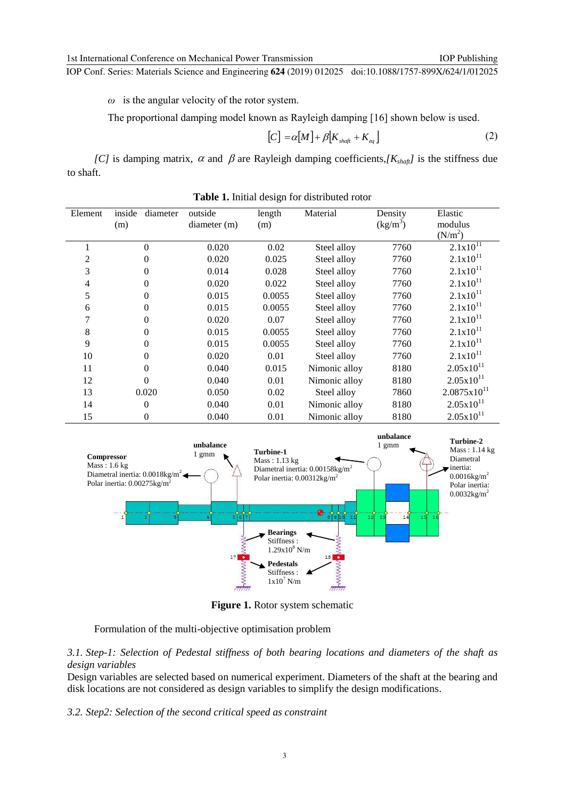IOP Publishing

IOP Conf. Series: Materials Science and Engineering **624** (2019) 012025 doi:10.1088/1757-899X/624/1/012025

*ω* is the angular velocity of the rotor system.

The proportional damping model known as Rayleigh damping [16] shown below is used.

$$
[C] = \alpha [M] + \beta [K_{\text{shaff}} + K_{\text{eq}}]
$$
 (2)

*[C]* is damping matrix,  $\alpha$  and  $\beta$  are Rayleigh damping coefficients,*[K<sub>shaft</sub>]* is the stiffness due to shaft.

| Element | diameter<br>inside<br>(m) | outside<br>diameter(m) | length<br>(m) | Material      | Density<br>$(kg/m^3)$ | Elastic<br>modulus      |
|---------|---------------------------|------------------------|---------------|---------------|-----------------------|-------------------------|
|         |                           |                        |               |               |                       | (N/m <sup>2</sup> )     |
|         | 0                         | 0.020                  | 0.02          | Steel alloy   | 7760                  | $2.1x10^{11}$           |
| 2       | 0                         | 0.020                  | 0.025         | Steel alloy   | 7760                  | $2.1x10^{11}$           |
| 3       | 0                         | 0.014                  | 0.028         | Steel alloy   | 7760                  | $2.1x10^{11}$           |
| 4       | 0                         | 0.020                  | 0.022         | Steel alloy   | 7760                  | $2.1x10^{11}$           |
| 5       | 0                         | 0.015                  | 0.0055        | Steel alloy   | 7760                  | $2.1x10^{11}$           |
| 6       | 0                         | 0.015                  | 0.0055        | Steel alloy   | 7760                  | $2.1x10^{11}$           |
| 7       | 0                         | 0.020                  | 0.07          | Steel alloy   | 7760                  | $2.1x10^{11}$           |
| 8       | 0                         | 0.015                  | 0.0055        | Steel alloy   | 7760                  | $2.1x10^{11}$           |
| 9       | 0                         | 0.015                  | 0.0055        | Steel alloy   | 7760                  | $2.1x10^{11}$           |
| 10      | 0                         | 0.020                  | 0.01          | Steel alloy   | 7760                  | $2.1x10^{11}$           |
| 11      | 0                         | 0.040                  | 0.015         | Nimonic alloy | 8180                  | $2.05x10^{11}$          |
| 12      | 0                         | 0.040                  | 0.01          | Nimonic alloy | 8180                  | $2.05x10^{11}$          |
| 13      | 0.020                     | 0.050                  | 0.02          | Steel alloy   | 7860                  | $2.0875 \times 10^{11}$ |
| 14      | 0                         | 0.040                  | 0.01          | Nimonic alloy | 8180                  | $2.05x10^{11}$          |
| 15      | 0                         | 0.040                  | 0.01          | Nimonic alloy | 8180                  | $2.05x10^{11}$          |

**Table 1.** Initial design for distributed rotor



**Figure 1.** Rotor system schematic

Formulation of the multi-objective optimisation problem

*3.1. Step-1: Selection of Pedestal stiffness of both bearing locations and diameters of the shaft as design variables*

Design variables are selected based on numerical experiment. Diameters of the shaft at the bearing and disk locations are not considered as design variables to simplify the design modifications.

*3.2. Step2: Selection of the second critical speed as constraint*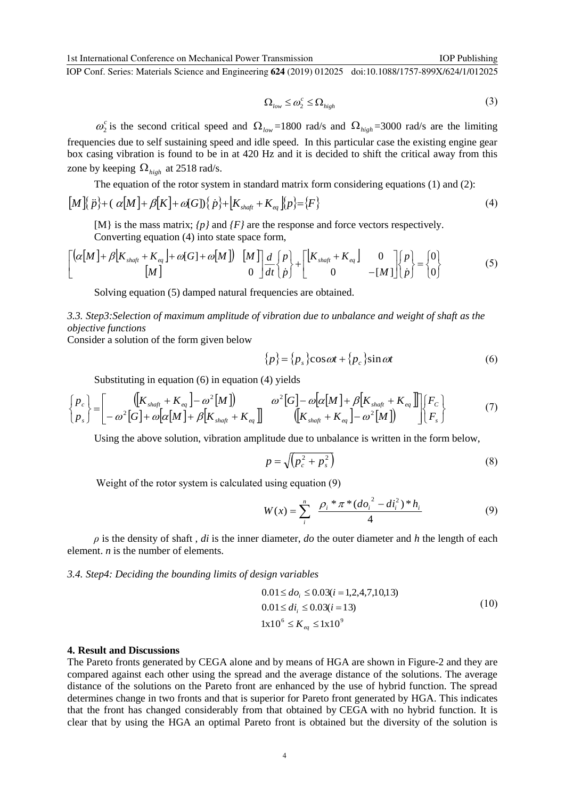IOP Conf. Series: Materials Science and Engineering **624** (2019) 012025 doi:10.1088/1757-899X/624/1/012025

$$
\Omega_{low} \le \omega_2^c \le \Omega_{high} \tag{3}
$$

 $\omega_2^c$  is the second critical speed and  $\Omega_{low}$ =1800 rad/s and  $\Omega_{high}$ =3000 rad/s are the limiting frequencies due to self sustaining speed and idle speed. In this particular case the existing engine gear box casing vibration is found to be in at 420 Hz and it is decided to shift the critical away from this zone by keeping  $\Omega_{high}$  at 2518 rad/s.

The equation of the rotor system in standard matrix form considering equations (1) and (2):

$$
[M][\ddot{p}] + (\alpha[M] + \beta[K] + \omega[G])\{\dot{p}\} + [K_{\text{shaff}} + K_{\text{eq}}][p] = \{F\}
$$
\n(4)

[M} is the mass matrix; *{p}* and *{F}* are the response and force vectors respectively.

Converting equation (4) into state space form,

$$
\begin{bmatrix}\n\left[\alpha[M] + \beta[K_{\text{shafi}} + K_{\text{eq}}\right] + \omega[G] + \omega[M]\n\end{bmatrix}\n\begin{bmatrix}\nM \\
0\n\end{bmatrix}\n\frac{d}{dt}\n\begin{bmatrix}\np \\
\dot{p}\n\end{bmatrix}\n+\n\begin{bmatrix}\n[K_{\text{shafi}} + K_{\text{eq}}\n\end{bmatrix}\n\begin{bmatrix}\n0 \\
0\n\end{bmatrix}\n\begin{bmatrix}\np \\
\dot{p}\n\end{bmatrix}\n=\n\begin{bmatrix}\n0 \\
0\n\end{bmatrix}
$$
\n(5)

Solving equation (5) damped natural frequencies are obtained.

*3.3. Step3:Selection of maximum amplitude of vibration due to unbalance and weight of shaft as the objective functions*

Consider a solution of the form given below

$$
\{p\} = \{p_s\} \cos \omega t + \{p_c\} \sin \omega t \tag{6}
$$

Substituting in equation (6) in equation (4) yields

$$
\begin{Bmatrix} p_c \\ p_s \end{Bmatrix} = \begin{bmatrix} \left( \left[ K_{\text{shaf}} + K_{\text{eq}} \right] - \omega^2 [M] \right) & \omega^2 [G] - \omega [\alpha [M] + \beta [K_{\text{shaf}} + K_{\text{eq}}] \end{bmatrix} \begin{bmatrix} F_c \\ F_s \end{bmatrix}
$$
\n
$$
(7)
$$

Using the above solution, vibration amplitude due to unbalance is written in the form below,

$$
p = \sqrt{\left(p_c^2 + p_s^2\right)}\tag{8}
$$

Weight of the rotor system is calculated using equation (9)

$$
W(x) = \sum_{i}^{n} \frac{\rho_{i} * \pi * (d o_{i}^{2} - d i_{i}^{2}) * h_{i}}{4}
$$
(9)

 $\rho$  is the density of shaft, *di* is the inner diameter, *do* the outer diameter and *h* the length of each element. *n* is the number of elements.

*3.4. Step4: Deciding the bounding limits of design variables*

$$
0.01 \le d_{o_i} \le 0.03(i = 1, 2, 4, 7, 10, 13)
$$
  
\n
$$
0.01 \le d_{i_i} \le 0.03(i = 13)
$$
  
\n
$$
1 \times 10^6 \le K_{eq} \le 1 \times 10^9
$$
\n(10)

#### **4. Result and Discussions**

The Pareto fronts generated by CEGA alone and by means of HGA are shown in Figure-2 and they are compared against each other using the spread and the average distance of the solutions. The average distance of the solutions on the Pareto front are enhanced by the use of hybrid function. The spread determines change in two fronts and that is superior for Pareto front generated by HGA. This indicates that the front has changed considerably from that obtained by CEGA with no hybrid function. It is clear that by using the HGA an optimal Pareto front is obtained but the diversity of the solution is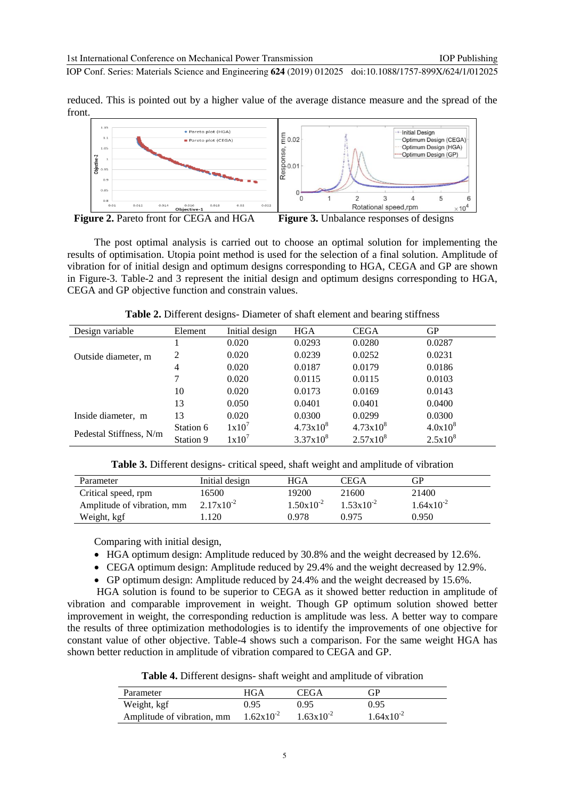IOP Conf. Series: Materials Science and Engineering **624** (2019) 012025 doi:10.1088/1757-899X/624/1/012025

reduced. This is pointed out by a higher value of the average distance measure and the spread of the front.



**Figure 2.** Pareto front for CEGA and HGA**Figure 3.** Unbalance responses of designs

The post optimal analysis is carried out to choose an optimal solution for implementing the results of optimisation. Utopia point method is used for the selection of a final solution. Amplitude of vibration for of initial design and optimum designs corresponding to HGA, CEGA and GP are shown in Figure-3. Table-2 and 3 represent the initial design and optimum designs corresponding to HGA, CEGA and GP objective function and constrain values.

| Design variable         | Element        | Initial design | <b>HGA</b>    | <b>CEGA</b>        | GР           |
|-------------------------|----------------|----------------|---------------|--------------------|--------------|
|                         |                | 0.020          | 0.0293        | 0.0280             | 0.0287       |
| Outside diameter, m     | 2              | 0.020          | 0.0239        | 0.0252             | 0.0231       |
|                         | $\overline{4}$ | 0.020          | 0.0187        | 0.0179             | 0.0186       |
|                         |                | 0.020          | 0.0115        | 0.0115             | 0.0103       |
|                         | 10             | 0.020          | 0.0173        | 0.0169             | 0.0143       |
|                         | 13             | 0.050          | 0.0401        | 0.0401             | 0.0400       |
| Inside diameter, m      | 13             | 0.020          | 0.0300        | 0.0299             | 0.0300       |
| Pedestal Stiffness, N/m | Station 6      | $1x10^7$       | $4.73x10^{8}$ | $4.73 \times 10^8$ | $4.0x10^{8}$ |
|                         | Station 9      | 1x10'          | $3.37x10^{8}$ | $2.57x10^{8}$      | $2.5x10^{8}$ |

**Table 2.** Different designs- Diameter of shaft element and bearing stiffness

| Table 3. Different designs- critical speed, shaft weight and amplitude of vibration |  |  |  |
|-------------------------------------------------------------------------------------|--|--|--|
|-------------------------------------------------------------------------------------|--|--|--|

| Parameter                  | Initial design | HGA            | CEGA                  | GP                    |
|----------------------------|----------------|----------------|-----------------------|-----------------------|
| Critical speed, rpm        | 16500-         | 19200          | 21600                 | 21400                 |
| Amplitude of vibration, mm | $2.17x10^{-2}$ | $1.50x10^{-2}$ | $1.53 \times 10^{-2}$ | $1.64 \times 10^{-2}$ |
| Weight, kgf                | .120           | 0.978          | 0.975                 | 0.950                 |

Comparing with initial design,

- HGA optimum design: Amplitude reduced by 30.8% and the weight decreased by 12.6%.
- CEGA optimum design: Amplitude reduced by 29.4% and the weight decreased by 12.9%.
- GP optimum design: Amplitude reduced by 24.4% and the weight decreased by 15.6%.

HGA solution is found to be superior to CEGA as it showed better reduction in amplitude of vibration and comparable improvement in weight. Though GP optimum solution showed better improvement in weight, the corresponding reduction is amplitude was less. A better way to compare the results of three optimization methodologies is to identify the improvements of one objective for constant value of other objective. Table-4 shows such a comparison. For the same weight HGA has shown better reduction in amplitude of vibration compared to CEGA and GP.

**Table 4.** Different designs- shaft weight and amplitude of vibration

| Parameter                  | HGA                   | CEGA                  | <b>GP</b>             |
|----------------------------|-----------------------|-----------------------|-----------------------|
| Weight, kgf                | 0.95                  | 0.95                  | 0.95                  |
| Amplitude of vibration, mm | $1.62 \times 10^{-2}$ | $1.63 \times 10^{-2}$ | $1.64 \times 10^{-2}$ |